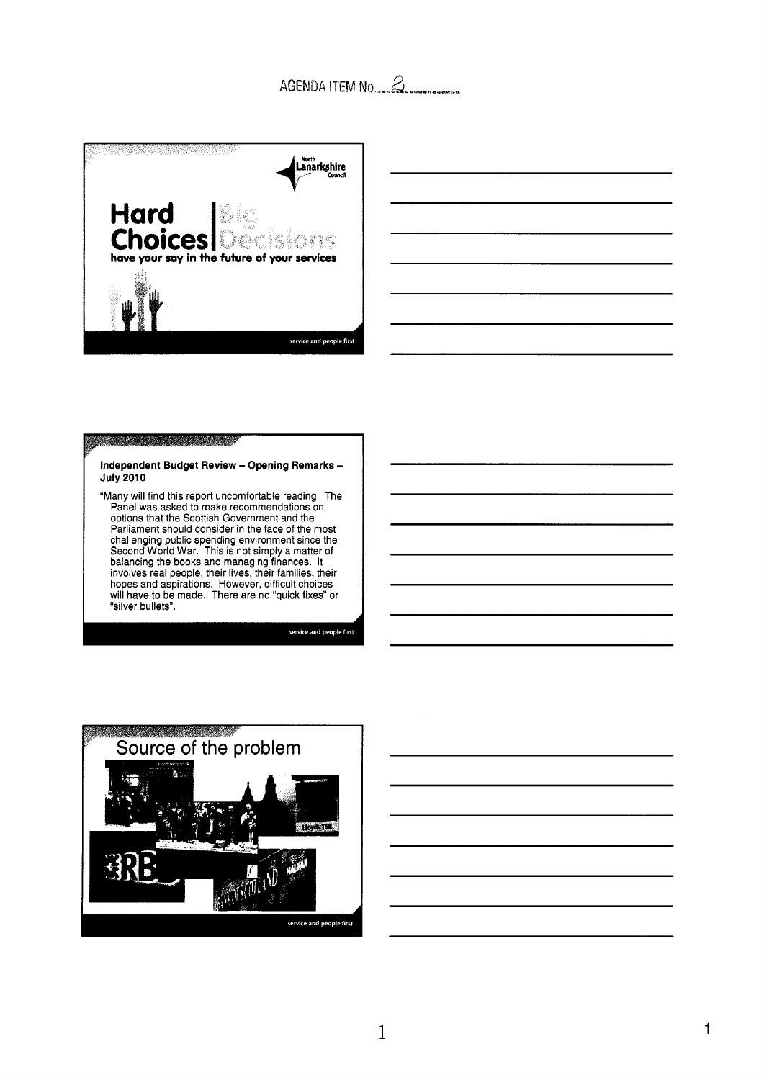# AGENDA ITEM NO.



#### 

#### Independent Budget Review - Opening Remarks -**July 2010**

"Many will find this report uncomfortable reading. The Panel was asked to make recommendations on options that the Scottish Government and the Parliament should consider in the face of the most challenging public spending environment since the Second World War. This is not simply a matter of balancing the books and managing finances. It involves real people, their lives, their families, their hopes and aspirations. However, difficult choices will have to be made. There are no "quick fixes" or "silver bullets".



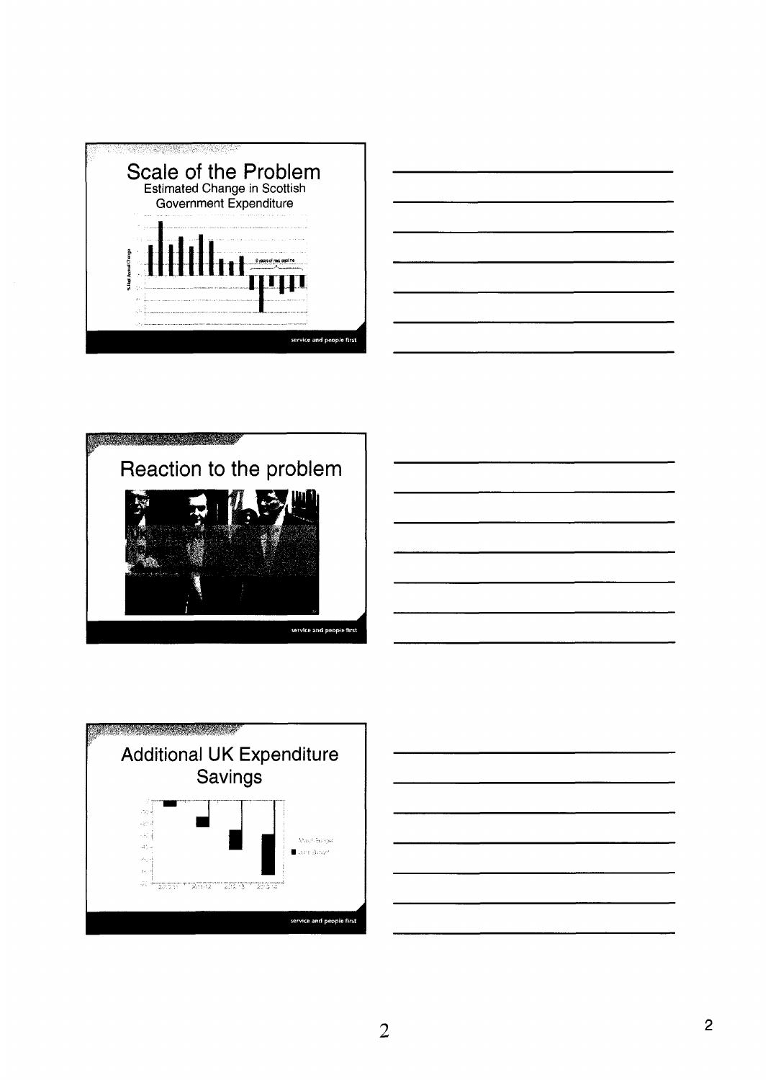









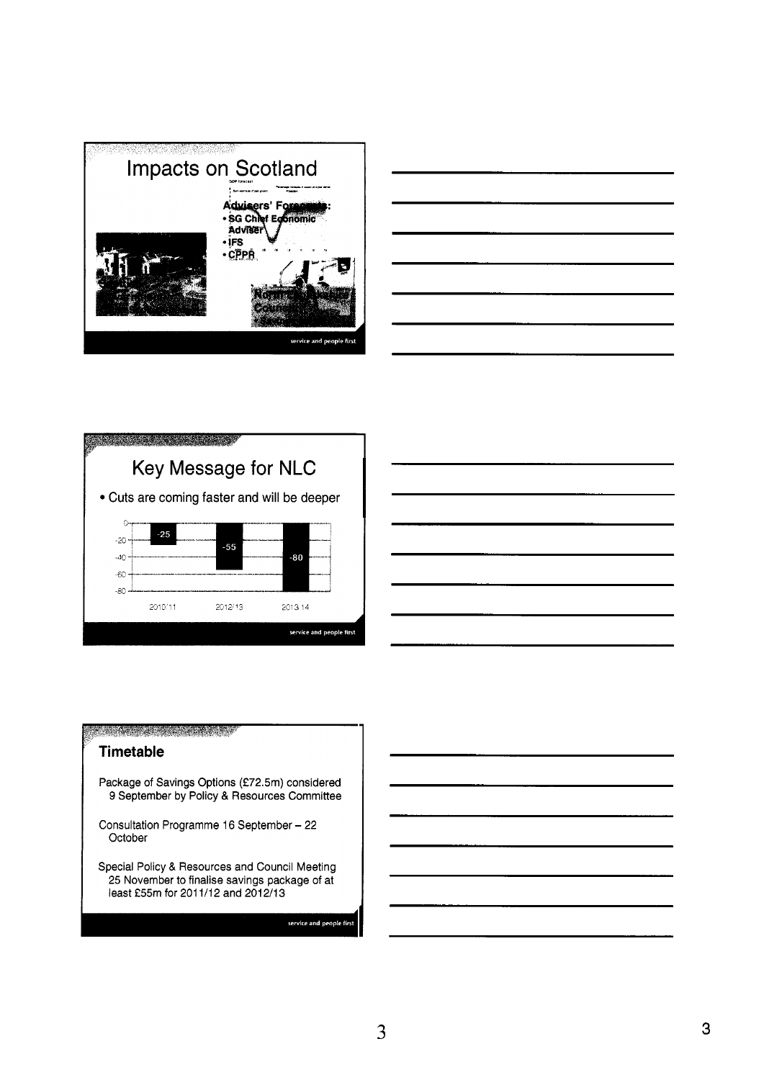







### 

## Timetable

Package of Savings Options (£72.5m) considered 9 September by Policy & Resources Committee

Consultation Programme 16 September - 22<br>October

Special Policy & Resources and Council Meeting *25* November to finalise savings package of at least £55m for 2011/12 and 2012/13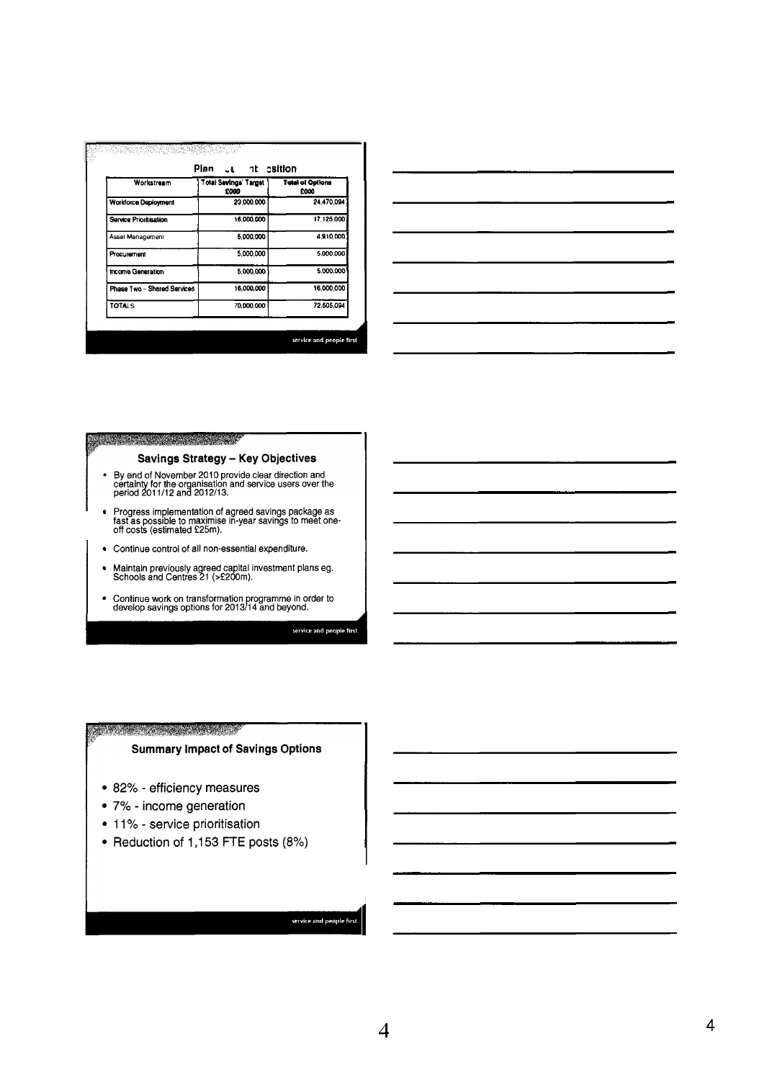| Workstream                  | Total Savings' Target<br>£000 | <b>Total of Options</b><br>£000 |
|-----------------------------|-------------------------------|---------------------------------|
| Workforce Deployment        | 23.000.000                    | 24.470.094                      |
| Service Prioritisation      | 16.000.000                    | 17,125,000                      |
| Asset Management            | 5.000.000                     | 4.910.000                       |
| Procurement                 | 5.000.000                     | 5.000.000                       |
| income Generation           | 5,000,000                     | 5.000.000                       |
| Phase Two - Shared Services | 16,000,000                    | 16.000.000                      |
| <b>TOTALS</b>               | 70,000.000                    | 72.505.094                      |



#### <u>The Communication of the Communication of the Communication of the Communication of the Communication of the Co</u>

## Savings Strategy - Key Objectives

- By end of November 2010 provide clear direction and<br>certainty for the organisation and service users over the<br>period 2011/12 and 2012/13.
- Progress implementation of agreed savings package as fast as possible to maximise in-year savings to meet one- off costs (estimated f25m).  $\bullet$
- Continue control of all non-essential expenditure.
- Maintain previously agreed capital investment plans eg. Schools and Centres **21** (>f200m).
- $\bullet$ Continue work on transformation rogramme in order to develop savings options for **2013j4** and beyond.

## service and people first

### 

## **Summary Impact of Savings Options**

- 82% efficiency measures
- 7% income generation
- 11% service prioritisation
- Reduction of 1,153 FTE posts (8%)

#### service and people first

4 **<sup>4</sup>**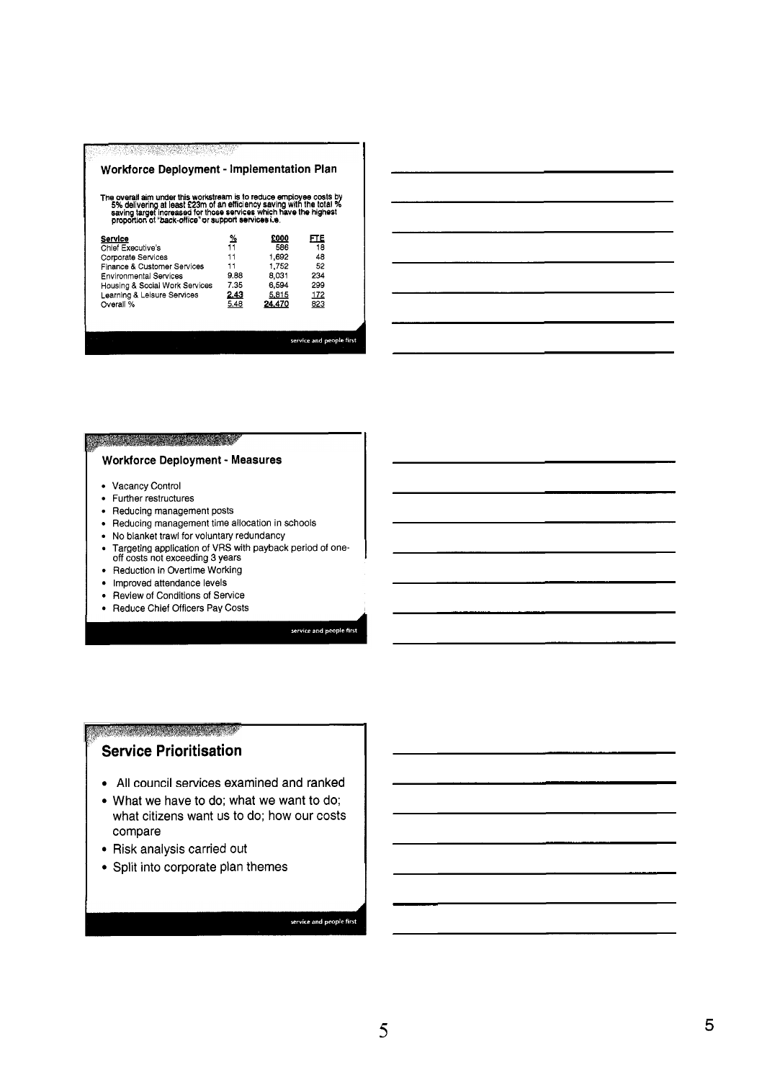| The overall aim under this workstream is to reduce employee costs by<br>5% delivering at least £23m of an efficiency saving with the total %<br>saving target increased for those services which have the highest<br>proportion of "back-office" or support services i.e. |      |        |      |
|---------------------------------------------------------------------------------------------------------------------------------------------------------------------------------------------------------------------------------------------------------------------------|------|--------|------|
| Service                                                                                                                                                                                                                                                                   | 2∘   | £000   | FTE. |
| Chief Executive's                                                                                                                                                                                                                                                         | 11   | 586    | 18   |
| Corporate Services                                                                                                                                                                                                                                                        | 11   | 1,692  | 48   |
| Finance & Customer Services                                                                                                                                                                                                                                               | 11   | 1,752  | 52   |
| <b>Environmental Services</b>                                                                                                                                                                                                                                             | 9.88 | 8,031  | 234  |
| Housing & Social Work Services                                                                                                                                                                                                                                            | 7.35 | 6,594  | 299  |
| Learning & Leisure Services                                                                                                                                                                                                                                               | 2.43 | 5,815  | 172  |
| Overall %                                                                                                                                                                                                                                                                 | 5.48 | 24.470 | 823  |



## 

## **Workforce Deployment** - **Measures**

- Vacancy Control
- Further restructures
- Reducing management posts
- Reducing management time allocation in schools
- No blanket trawl for voluntary redundancy
- Targeting application of VRS with payback period of oneoff costs not exceeding 3 years
- Reduction in Overtime Working
- $\bullet$ Improved attendance levels
- Review of Conditions of Service
- Reduce Chief Officers Pay Costs

service and people first

## **REAL PROPERTY AND REAL PROPERTY**

## **Service Prioritisation**

- **All** council services examined and ranked
- What we have to do; what we want to do; what citizens want us to do; how our costs compare
- Risk analysis carried out
- Split into corporate plan themes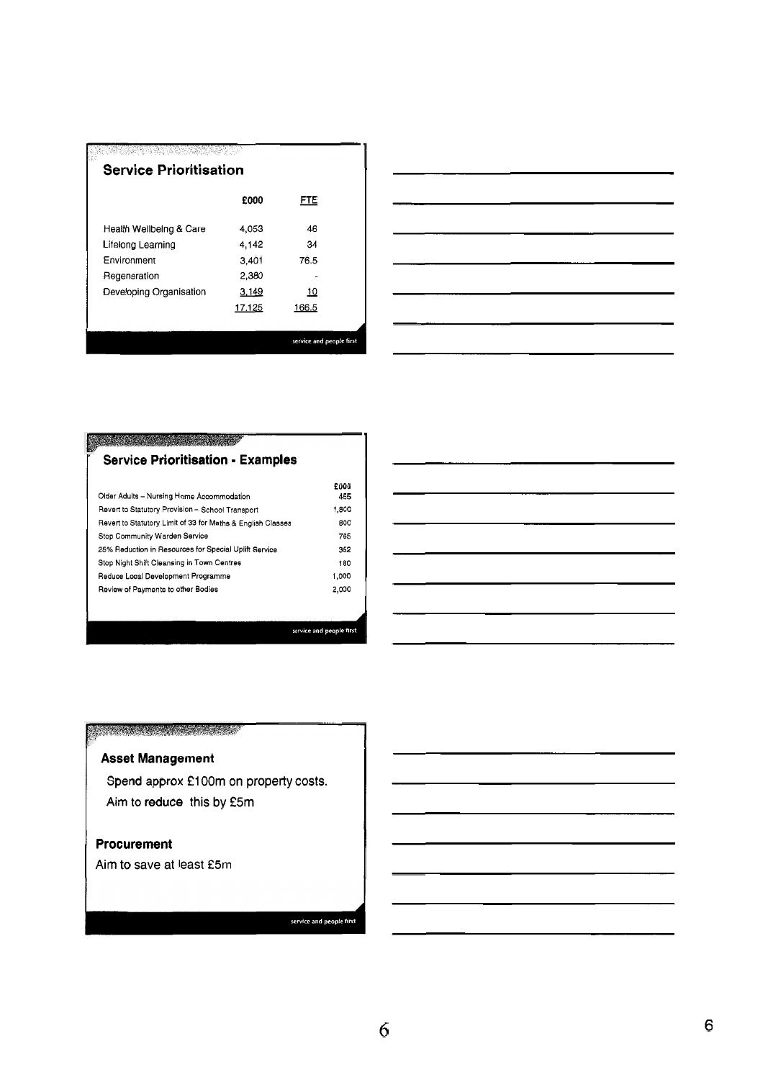|                                    | £000   | FTE       |
|------------------------------------|--------|-----------|
|                                    |        |           |
| <b>Health Wellbeing &amp; Care</b> | 4,053  | 46        |
| Lifelong Learning                  | 4.142  | 34        |
| Environment                        | 3.401  | 76.5      |
| Regeneration                       | 2,380  |           |
| Developing Organisation            | 3,149  | <u>10</u> |
|                                    | 17,125 | 166.5     |



| <b>Service Prioritisation - Examples</b>                    |             |
|-------------------------------------------------------------|-------------|
| Older Adults - Nursing Home Accommodation                   | £000<br>455 |
| Revert to Statutory Provision - School Transport            | 1.800       |
| Revert to Statutory Limit of 33 for Maths & English Classes | 800         |
| Stop Community Warden Service                               | 765         |
| 25% Reduction in Resources for Special Uplift Service       | 352         |
| Stop Night Shift Cleansing in Town Centres                  | 180         |
| Reduce Local Development Programme                          | 1.000       |
| Review of Payments to other Bodies                          | 2,000       |



## 

## **Asset Management**

Spend approx £100m on property costs. Aim to **reduce this by** €5m

## **Procurement**

Aim to **save at least** f5m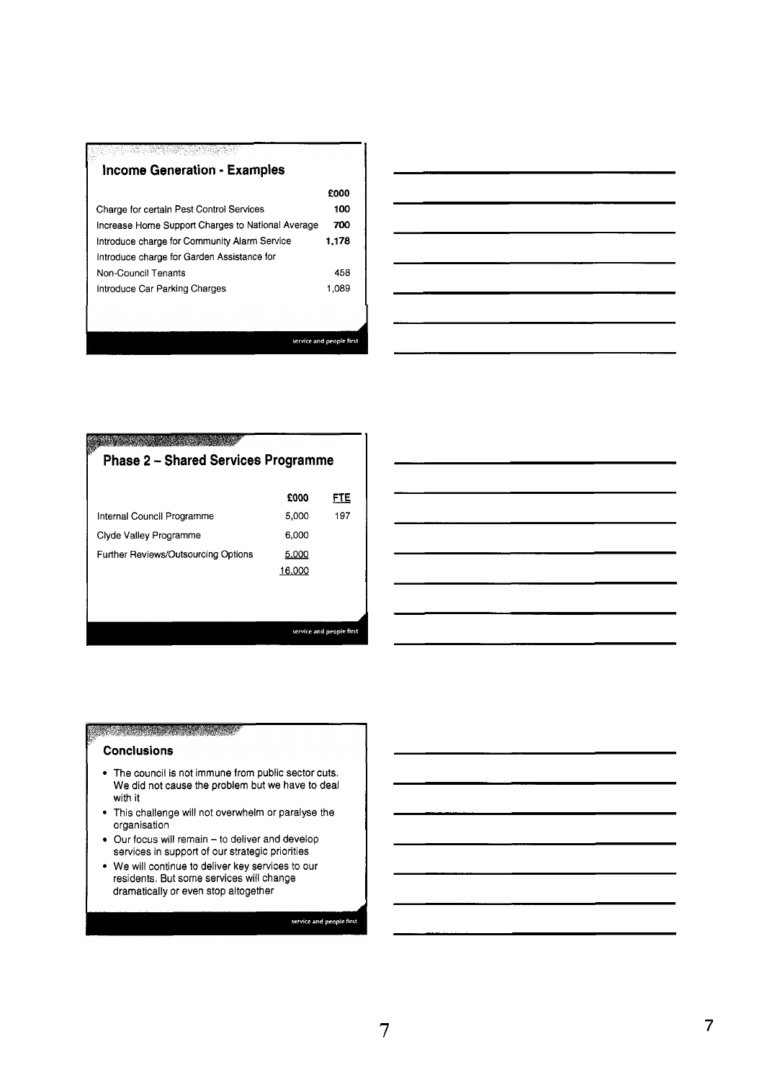## **Income Generation** - **Examples**

<u> Martin Martin Martin (</u>

|                                                   | £000  |
|---------------------------------------------------|-------|
| Charge for certain Pest Control Services          | 100   |
| Increase Home Support Charges to National Average | 700   |
| Introduce charge for Community Alarm Service      | 1,178 |
| Introduce charge for Garden Assistance for        |       |
| Non-Council Tenants                               | 458   |
| Introduce Car Parking Charges                     | 1,089 |
|                                                   |       |
|                                                   |       |

service and people first

| <b>Phase 2 - Shared Services Programme</b> |        |     |  |
|--------------------------------------------|--------|-----|--|
|                                            | £000   | FTE |  |
| Internal Council Programme                 | 5,000  | 197 |  |
| Clyde Valley Programme                     | 6.000  |     |  |
| Further Reviews/Outsourcing Options        | 5,000  |     |  |
|                                            | 16,000 |     |  |
|                                            |        |     |  |
|                                            |        |     |  |

## **Conclusions**

- The council is not immune from public sector cuts. **We** did not cause the problem but we have to deal with it
- This challenge will not overwhelm or paralyse the organisation
- Our focus will remain to deliver and develop services in support of our strategic priorities
- We will continue to deliver key services to our residents. But some services will change dramatically or even stop altogether I **1**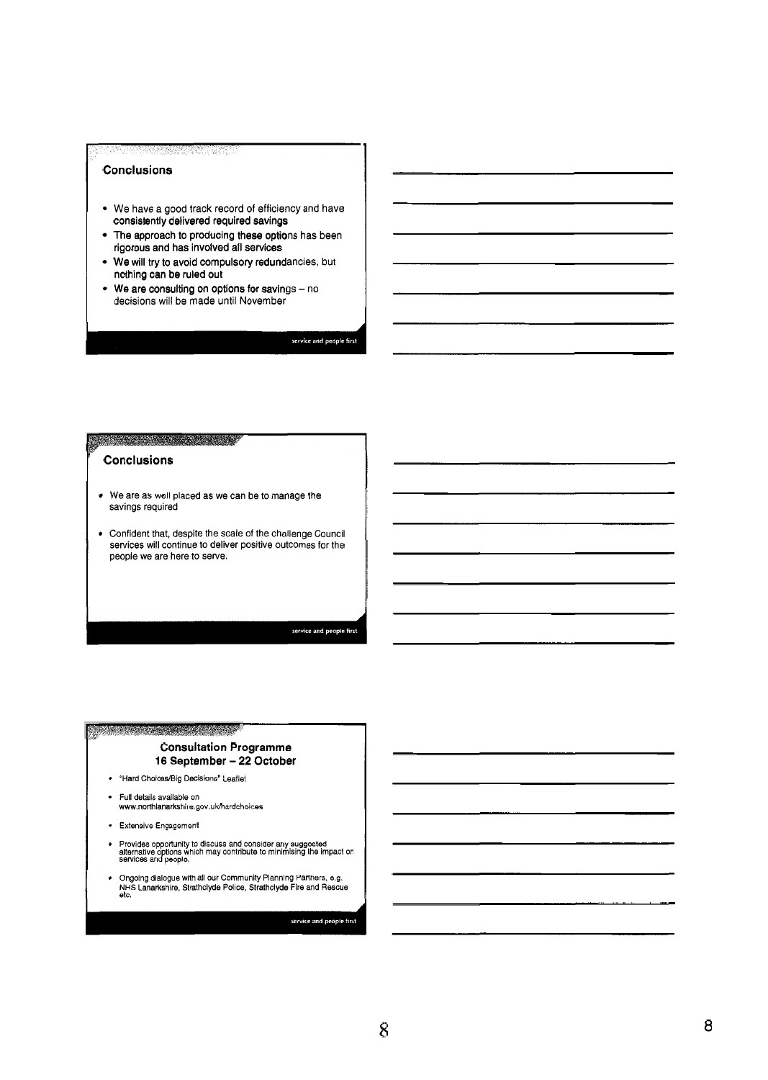## **Conclusions**

- We have a good track record of efficiency and have consistently delivered required savings
- The approach to producing these options has been rigorous and has involved all services
- We will try to avoid compulsory redundancies, but nothing can be ruled out
- We are consulting on options for savings no decisions will be made until November

service and people first

#### 

## **Conclusions**

- We are as well placed as we can be to manage the savings required
- Confident that, despite the scale of the challenge Council services will continue to deliver positive outcomes for the people we are here to serve.

### service and people fir

#### 

## **Consultation Programme 16 September** - **22 October**

- . "Hard Choices/Big Decisions" Leaflet
- Full details available on www.northlanarkshire.gov.uk/hardchoices
- Extensive Engagement
- $\bullet$ Provides opportunity to discuss and consider any suggested<br>alternative options which may contribute to minimising the impact on<br>services and people.
- $\bullet$ Ongoing dialogue with all our Community Planning Partners, e.g.<br>NHS Lanarkshire, Strathclyde Police, Strathclyde Fire and Rescue